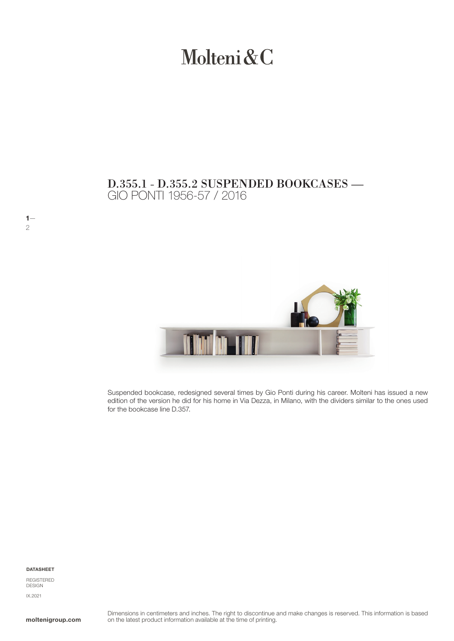# Molteni&C

## GIO PONTI 1956-57 / 2016 D.355.1 - D.355.2 SUSPENDED BOOKCASES —



Suspended bookcase, redesigned several times by Gio Ponti during his career. Molteni has issued a new edition of the version he did for his home in Via Dezza, in Milano, with the dividers similar to the ones used for the bookcase line D.357.

#### DATASHEET

 $1-$ 

2

REGISTERED **DESIGN** IX.2021